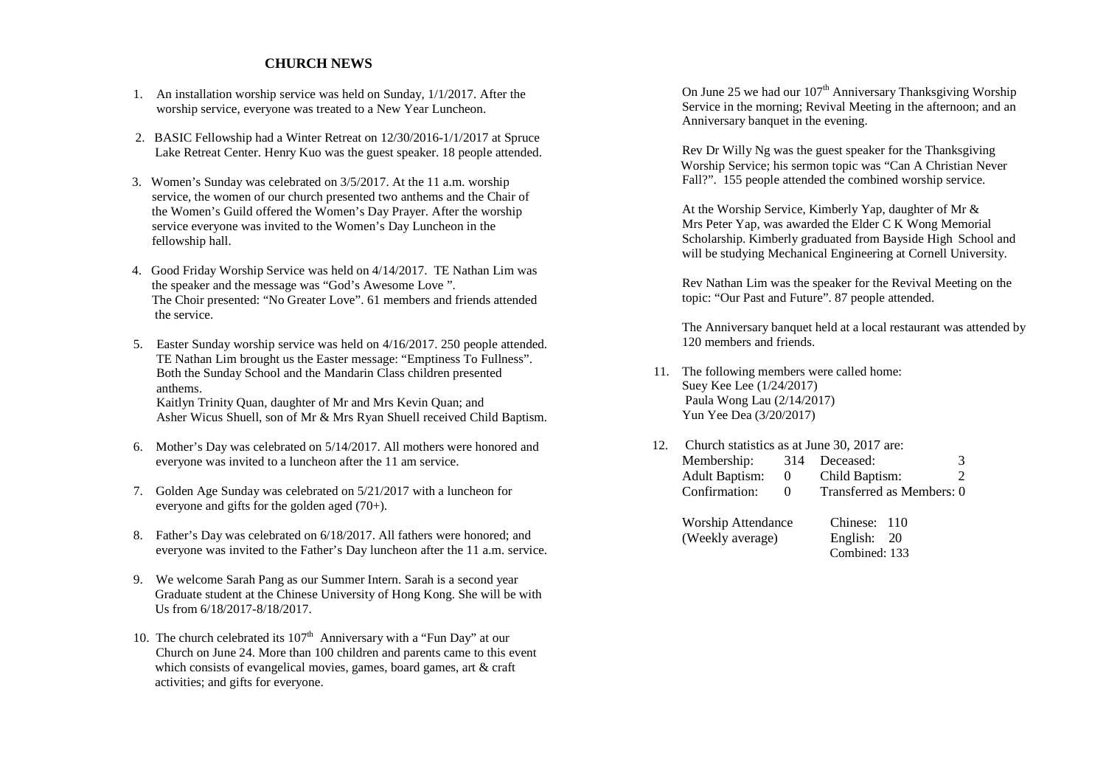## **CHURCH NEWS**

- 1. An installation worship service was held on Sunday, 1/1/2017. After the worship service, everyone was treated to a New Year Luncheon.
- 2. BASIC Fellowship had a Winter Retreat on 12/30/2016-1/1/2017 at Spruce Lake Retreat Center. Henry Kuo was the guest speaker. 18 people attended.
	- 3. Women's Sunday was celebrated on 3/5/2017. At the 11 a.m. worship service, the women of our church presented two anthems and the Chair of the Women's Guild offered the Women's Day Prayer. After the worship service everyone was invited to the Women's Day Luncheon in the fellowship hall.
- 4. Good Friday Worship Service was held on 4/14/2017. TE Nathan Lim was the speaker and the message was "God's Awesome Love ". The Choir presented: "No Greater Love". 61 members and friends attended the service.
	- 5. Easter Sunday worship service was held on 4/16/2017. 250 people attended. TE Nathan Lim brought us the Easter message: "Emptiness To Fullness". Both the Sunday School and the Mandarin Class children presented anthems. Kaitlyn Trinity Quan, daughter of Mr and Mrs Kevin Quan; and Asher Wicus Shuell, son of Mr & Mrs Ryan Shuell received Child Baptism.
	- 6. Mother's Day was celebrated on 5/14/2017. All mothers were honored and everyone was invited to a luncheon after the 11 am service.
	- 7. Golden Age Sunday was celebrated on 5/21/2017 with a luncheon for everyone and gifts for the golden aged (70+).
	- 8. Father's Day was celebrated on 6/18/2017. All fathers were honored; and everyone was invited to the Father's Day luncheon after the 11 a.m. service.
	- 9. We welcome Sarah Pang as our Summer Intern. Sarah is a second year Graduate student at the Chinese University of Hong Kong. She will be with Us from 6/18/2017-8/18/2017.
	- 10. The church celebrated its  $107<sup>th</sup>$  Anniversary with a "Fun Day" at our Church on June 24. More than 100 children and parents came to this event which consists of evangelical movies, games, board games, art & craft activities; and gifts for everyone.

On June 25 we had our  $107<sup>th</sup>$  Anniversary Thanksgiving Worship Service in the morning; Revival Meeting in the afternoon; and an Anniversary banquet in the evening.

 Rev Dr Willy Ng was the guest speaker for the Thanksgiving Worship Service; his sermon topic was "Can A Christian Never Fall?". 155 people attended the combined worship service.

 At the Worship Service, Kimberly Yap, daughter of Mr & Mrs Peter Yap, was awarded the Elder C K Wong Memorial Scholarship. Kimberly graduated from Bayside High School and will be studying Mechanical Engineering at Cornell University.

 Rev Nathan Lim was the speaker for the Revival Meeting on the topic: "Our Past and Future". 87 people attended.

 The Anniversary banquet held at a local restaurant was attended by 120 members and friends.

11. The following members were called home: Suey Kee Lee (1/24/2017) Paula Wong Lau (2/14/2017) Yun Yee Dea (3/20/2017)

| 12. Church statistics as at June 30, 2017 are: |                |                           |                             |  |  |
|------------------------------------------------|----------------|---------------------------|-----------------------------|--|--|
| Membership: 314 Deceased:                      |                |                           | 3                           |  |  |
| <b>Adult Baptism:</b>                          | $\overline{0}$ | Child Baptism:            | $\mathcal{D}_{\mathcal{L}}$ |  |  |
| Confirmation:                                  | $\theta$       | Transferred as Members: 0 |                             |  |  |
|                                                |                |                           |                             |  |  |

| <b>Worship Attendance</b> | Chinese: 110  |  |
|---------------------------|---------------|--|
| (Weekly average)          | English: 20   |  |
|                           | Combined: 133 |  |